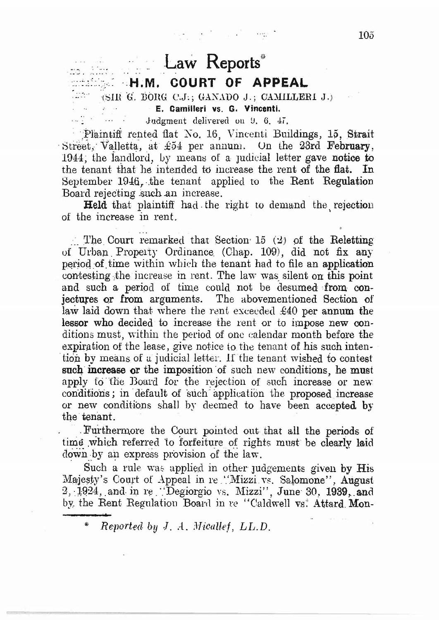## Law Reports\* **M. H.M. COURT OF APPEAL** (SIR G. BORG C.J.; GANADO J.; CAMILLERI J.)

 $\label{eq:2.1} \mathcal{L}^{(1)}_{\text{max}} = \frac{1}{2\pi}\sum_{i=1}^N \mathcal{L}^{(1)}_{\text{max}} \mathcal{L}^{(2)}_{\text{max}}$ 

E. Camilleri vs. G. Vincenti.

Judgment delivered on 9, 6, 47,

Plaintiff rented flat No. 16, Vincenti Buildings, 15, Strait Street, Valletta, at £54 per annum. On the 23rd February, 1944; the landlord, by means of a judicial letter gave notice to the tenant that he intended to increase the rent of the flat. In September 1946, the tenant applied to the Rent Regulation Board rejecting such an increase.

**Held** that plaintiff had the right to demand the rejection of the increase in rent.

The Court remarked that Section 15  $(2)$  of the Reletting of Urban Property Ordinance (Chap. 109), did not fix any period of time within which the tenant had to file an application contesting the increase in rent. The law was silent on this point and such a period of time could not be desumed from conjectures or from arguments. The abovementioned Section of law laid down that where the rent exceeded £40 per annum the lessor who decided to increase the rent or to impose new conditions must, within the period of one calendar month before the expiration of the lease, give notice to the tenant of his such intention by means of a judicial letter. If the tenant wished to contest such increase or the imposition of such new conditions, he must apply to the Board for the rejection of such increase or new conditions; in default of such application the proposed increase or new conditions shall by deemed to have been accepted by the tenant.

Furthermore the Court pointed out that all the periods of time which referred to forfeiture of rights must be clearly laid down by an express provision of the law.

Such a rule was applied in other judgements given by His Majesty's Court of Appeal in re "Mizzi vs. Salomone", August 2, 1924, and in re "Degiorgio vs. Mizzi", June 30, 1939, and by the Rent Regulation Board in re "Caldwell vs. Attard Mon-

¥. Reported by  $J, A, Micalleft, LL.D.$   $10<sub>5</sub>$